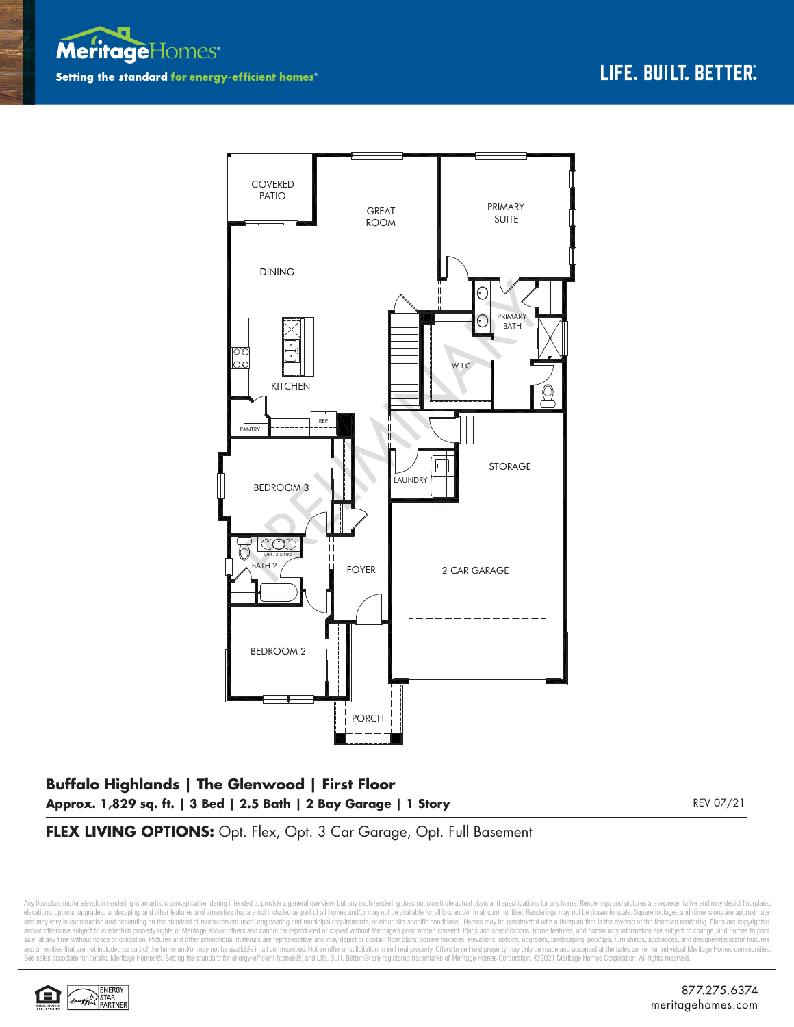



## **Buffalo Highlands | The Glenwood | First Floor Approx. 1,829 sq. ft. | 3 Bed | 2.5 Bath | 2 Bay Garage | 1 Story** REV 07/21

**FLEX LIVING OPTIONS:** Opt. Flex, Opt. 3 Car Garage, Opt. Full Basement

Any floorplan and/or elevation rendering is an artist's conceptual rendering intended to provide a general overview, but any such rendering does not constitute actual plans and specifications for any home. Renderings and p elevations, options, upgrades, landscaping, and other features and amenities that are not included as part of all homes and/or may not be available for all lots and/or in all communities. Renderings may not be drawn to sca and may vary in construction and depending on the standard of measurement used, engineering and municipal requirements, or other site-specific conditions. Homes may be constructed with a floorplan that is the reverse of th and/or otherwise subject to intellectual property rights of Meritage and/or others and cannot be reproduced or copied without Meritage's prior written consent. Plans and specifications, home features, and community informa sale, at any time without notice or obligation. Pictures and other promotional materials are representative and may depict or contain floor plans, square footages, elevations, options, upgrades, landscaping, pool/spa, furn See sales associate for details. Meritage Homes®, Setting the standard for energy-efficient homes®, and Life. Built. Better. @ are registered trademarks of Meritage Homes Corporation. ©2021 Meritage Homes Corporation. All

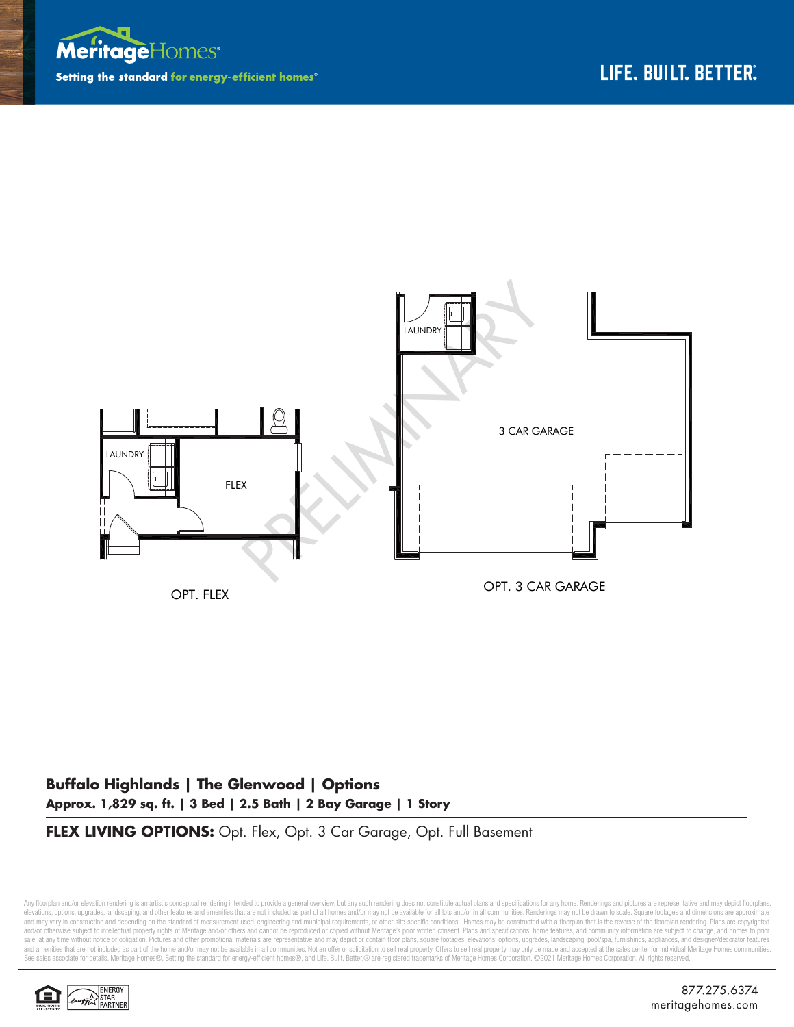



## **Buffalo Highlands | The Glenwood | Options Approx. 1,829 sq. ft. | 3 Bed | 2.5 Bath | 2 Bay Garage | 1 Story**

**FLEX LIVING OPTIONS:** Opt. Flex, Opt. 3 Car Garage, Opt. Full Basement

Any floorplan and/or elevation rendering is an artist's conceptual rendering intended to provide a general overview, but any such rendering does not constitute actual plans and specifications for any home. Renderings and p elevations, options, upgrades, landscaping, and other features and amenities that are not included as part of all homes and/or may not be available for all lots and/or in all communities. Renderings may not be drawn to sca and may vary in construction and depending on the standard of measurement used, engineering and municipal requirements, or other site-specific conditions. Homes may be constructed with a floorplan that is the reverse of th and/or otherwise subject to intellectual property rights of Meritage and/or others and cannot be reproduced or copied without Meritage's prior written consent. Plans and specifications, home features, and community informa sale, at any time without notice or obligation. Pictures and other promotional materials are representative and may depict or contain floor plans, square footages, elevations, options, upgrades, landscaping, pool/spa, furn See sales associate for details. Meritage Homes®, Setting the standard for energy-efficient homes®, and Life. Built. Better.® are registered trademarks of Meritage Homes Corporation. ©2021 Meritage Homes Corporation. All r